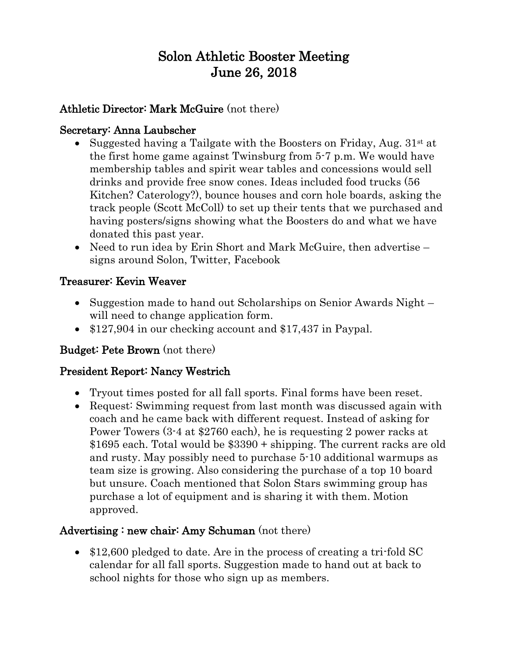# Solon Athletic Booster Meeting June 26, 2018

## Athletic Director: Mark McGuire (not there)

#### Secretary: Anna Laubscher

- Suggested having a Tailgate with the Boosters on Friday, Aug.  $31^{st}$  at the first home game against Twinsburg from 5-7 p.m. We would have membership tables and spirit wear tables and concessions would sell drinks and provide free snow cones. Ideas included food trucks (56 Kitchen? Caterology?), bounce houses and corn hole boards, asking the track people (Scott McColl) to set up their tents that we purchased and having posters/signs showing what the Boosters do and what we have donated this past year.
- Need to run idea by Erin Short and Mark McGuire, then advertise signs around Solon, Twitter, Facebook

## Treasurer: Kevin Weaver

- Suggestion made to hand out Scholarships on Senior Awards Night will need to change application form.
- \$127,904 in our checking account and \$17,437 in Paypal.

## Budget: Pete Brown (not there)

## President Report: Nancy Westrich

- Tryout times posted for all fall sports. Final forms have been reset.
- Request: Swimming request from last month was discussed again with coach and he came back with different request. Instead of asking for Power Towers (3-4 at \$2760 each), he is requesting 2 power racks at \$1695 each. Total would be \$3390 + shipping. The current racks are old and rusty. May possibly need to purchase 5-10 additional warmups as team size is growing. Also considering the purchase of a top 10 board but unsure. Coach mentioned that Solon Stars swimming group has purchase a lot of equipment and is sharing it with them. Motion approved.

## Advertising : new chair: Amy Schuman (not there)

• \$12,600 pledged to date. Are in the process of creating a tri-fold SC calendar for all fall sports. Suggestion made to hand out at back to school nights for those who sign up as members.